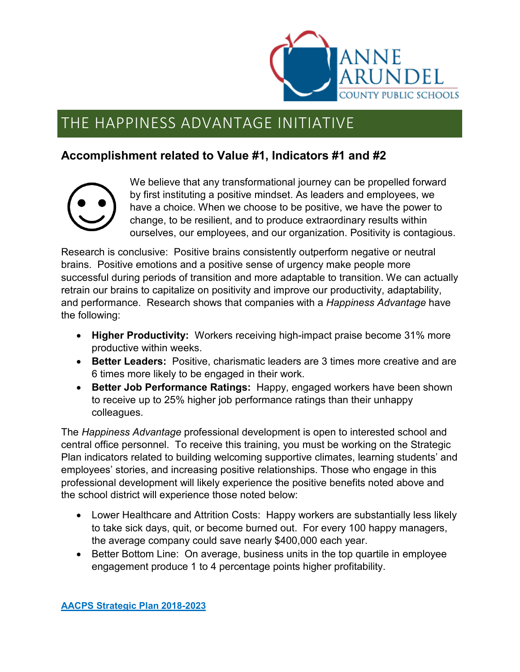

## THE HAPPINESS ADVANTAGE INITIATIVE

## **Accomplishment related to Value #1, Indicators #1 and #2**



We believe that any transformational journey can be propelled forward by first instituting a positive mindset. As leaders and employees, we have a choice. When we choose to be positive, we have the power to change, to be resilient, and to produce extraordinary results within ourselves, our employees, and our organization. Positivity is contagious.

Research is conclusive: Positive brains consistently outperform negative or neutral brains. Positive emotions and a positive sense of urgency make people more successful during periods of transition and more adaptable to transition. We can actually retrain our brains to capitalize on positivity and improve our productivity, adaptability, and performance. Research shows that companies with a *Happiness Advantage* have the following:

- **Higher Productivity:** Workers receiving high-impact praise become 31% more productive within weeks.
- **Better Leaders:** Positive, charismatic leaders are 3 times more creative and are 6 times more likely to be engaged in their work.
- **Better Job Performance Ratings:** Happy, engaged workers have been shown to receive up to 25% higher job performance ratings than their unhappy colleagues.

The *Happiness Advantage* professional development is open to interested school and central office personnel. To receive this training, you must be working on the Strategic Plan indicators related to building welcoming supportive climates, learning students' and employees' stories, and increasing positive relationships. Those who engage in this professional development will likely experience the positive benefits noted above and the school district will experience those noted below:

- Lower Healthcare and Attrition Costs: Happy workers are substantially less likely to take sick days, quit, or become burned out. For every 100 happy managers, the average company could save nearly \$400,000 each year.
- Better Bottom Line: On average, business units in the top quartile in employee engagement produce 1 to 4 percentage points higher profitability.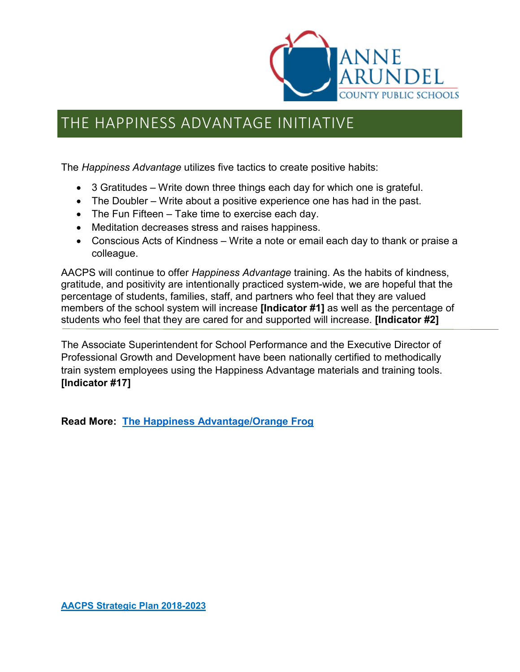

## THE HAPPINESS ADVANTAGE INITIATIVE

The *Happiness Advantage* utilizes five tactics to create positive habits:

- 3 Gratitudes Write down three things each day for which one is grateful.
- The Doubler Write about a positive experience one has had in the past.
- The Fun Fifteen Take time to exercise each day.
- Meditation decreases stress and raises happiness.
- Conscious Acts of Kindness Write a note or email each day to thank or praise a colleague.

AACPS will continue to offer *Happiness Advantage* training. As the habits of kindness, gratitude, and positivity are intentionally practiced system-wide, we are hopeful that the percentage of students, families, staff, and partners who feel that they are valued members of the school system will increase **[Indicator #1]** as well as the percentage of students who feel that they are cared for and supported will increase. **[Indicator #2]**

The Associate Superintendent for School Performance and the Executive Director of Professional Growth and Development have been nationally certified to methodically train system employees using the Happiness Advantage materials and training tools. **[Indicator #17]**

**Read More: [The Happiness Advantage/Orange Frog](http://www.orangefrogbook.com/on-site-training/)**